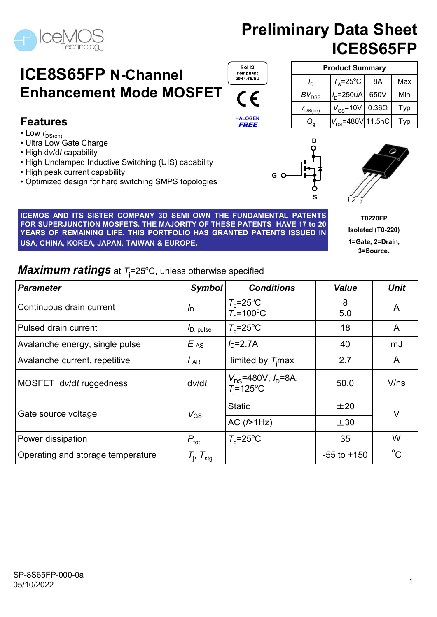# ICE8S65FP N-Channel Enhancement Mode MOSFET (F

#### Features

- Low  $r_{DS(on)}$
- Ultra Low Gate Charge
- High dv/dt capability
- High Unclamped Inductive Switching (UIS) capability
- High peak current capability
- Optimized design for hard switching SMPS topologies

**ICENSES AND ITS SISTER COMPANY 3D SEMI OWN THE FUNDAMENTAL PATENTS (SUE AND AND ITS SISTER COMPANY SURED PATENTS HAVE 17 to 20<br>
ICENS AND ITS SISTER COMPANY 3D SEMI OWN THE FUNDAMENTAL PATENTS (SUE TRACE TO THE SUCH ASSAU** FOR SUPERTURE SUPERTURE COMPANY SUPERTURE FUNDAMENTAL PATENTS<br>
FOR SUPERTURE SUPERTURE COMPANY SUPERTURE TO THE FUNDAMENTAL PATENTS (FOR SUPERTY OF THE MAJORITY OF THE MAJORITY OF THE MAJORITY OF THE MAJORITY OF THE MAJOR **ICE8S65FP N-Channel**<br> **Enhancement Mode MOSFET**<br>
Features<br>
Features<br>  $\frac{1}{6}$ <br>  $\frac{1}{76}$ <br>  $\frac{1}{76}$ <br>  $\frac{1}{76}$ <br>  $\frac{1}{76}$ <br>  $\frac{1}{76}$ <br>  $\frac{1}{76}$ <br>  $\frac{1}{76}$ <br>  $\frac{1}{76}$ <br>  $\frac{1}{76}$ <br>  $\frac{1}{76}$ <br>  $\frac{1}{76}$ <br>  $\frac{1}{76$ **ICE8S65FP N-Channel Enhancement Mode MOSFET**<br>
Enhancement Mode MOSFET CC<br>
Features<br>
The Composition (Maximum Cate Charge<br>
USA,  $\frac{U_{\text{CBS}}}{U_{\text{DAS}}}\left(\frac{E}{2}\right)_{\text{CBS}}=480\sqrt{11.5nC}$  The set of  $\frac{E}{2}$ <br>
USA (Solicity)<br>

|                                                                                                                                                                                                                                                                                                                                                  |                        | こく こく こく こく こく こくしゅう こうきょう こうしゃ              | - DSS<br>. O                                                       |                                                                      |
|--------------------------------------------------------------------------------------------------------------------------------------------------------------------------------------------------------------------------------------------------------------------------------------------------------------------------------------------------|------------------------|----------------------------------------------|--------------------------------------------------------------------|----------------------------------------------------------------------|
|                                                                                                                                                                                                                                                                                                                                                  |                        |                                              | $V_{\rm GS}$ =10V 0.36 $\Omega$<br>$r_{DS(on)}$                    | Typ                                                                  |
| <b>Features</b>                                                                                                                                                                                                                                                                                                                                  |                        | <b>HALOGEN</b><br><b>FREE</b>                | $\left  V_{\text{DS}}$ =480V $\left  11.5$ nC $\right $<br>$Q_{q}$ | Typ                                                                  |
| $\cdot$ Low $r_{DS(on)}$<br>• Ultra Low Gate Charge<br>• High dv/dt capability<br>• High Unclamped Inductive Switching (UIS) capability<br>• High peak current capability<br>• Optimized design for hard switching SMPS topologies                                                                                                               |                        |                                              |                                                                    |                                                                      |
| ICEMOS AND ITS SISTER COMPANY 3D SEMI OWN THE FUNDAMENTAL PATENTS<br>FOR SUPERJUNCTION MOSFETS. THE MAJORITY OF THESE PATENTS HAVE 17 to 20<br>YEARS OF REMAINING LIFE. THIS PORTFOLIO HAS GRANTED PATENTS ISSUED IN<br>USA, CHINA, KOREA, JAPAN, TAIWAN & EUROPE.<br><b>Maximum ratings</b> at $T_1 = 25^{\circ}$ C, unless otherwise specified |                        |                                              |                                                                    | <b>T0220FP</b><br>Isolated (T0-220)<br>1=Gate, 2=Drain,<br>3=Source. |
| Parameter                                                                                                                                                                                                                                                                                                                                        | Symbol                 | <b>Conditions</b>                            | <b>Value</b>                                                       | <b>Unit</b>                                                          |
| Continuous drain current                                                                                                                                                                                                                                                                                                                         | ID.                    | $T_c = 25$ °C<br>$T_c$ =100°C                | 8<br>5.0                                                           | A                                                                    |
| Pulsed drain current                                                                                                                                                                                                                                                                                                                             | $I_{D, \text{ pulse}}$ | $T_c = 25$ °C                                | 18                                                                 | A                                                                    |
| Avalanche energy, single pulse                                                                                                                                                                                                                                                                                                                   | $E_{AS}$               | $ID=2.7A$                                    | 40                                                                 | mJ                                                                   |
| Avalanche current, repetitive                                                                                                                                                                                                                                                                                                                    | $I_{AR}$               | limited by $T_i$ max                         | 2.7                                                                | A                                                                    |
| MOSFET dv/dt ruggedness                                                                                                                                                                                                                                                                                                                          | dv/dt                  | $V_{DS}$ =480V, $I_D$ =8A,<br>$T_i = 125$ °C | 50.0                                                               | V/ns                                                                 |
|                                                                                                                                                                                                                                                                                                                                                  |                        |                                              | ±20                                                                |                                                                      |
|                                                                                                                                                                                                                                                                                                                                                  |                        | <b>Static</b>                                |                                                                    |                                                                      |
| Gate source voltage                                                                                                                                                                                                                                                                                                                              | $V_{GS}$               | AC(f>1Hz)                                    | ±30                                                                | V                                                                    |
| Power dissipation                                                                                                                                                                                                                                                                                                                                | $P_{\rm tot}$          | $T_c = 25$ °C                                | 35                                                                 | W                                                                    |

|                                | <b>Preliminary Data Sheet</b>      |      |     |  |  |  |
|--------------------------------|------------------------------------|------|-----|--|--|--|
|                                | ICE8S65FP                          |      |     |  |  |  |
|                                | <b>Product Summary</b>             |      |     |  |  |  |
| $I_{\rm D}$                    | $T_{\rm A}$ =25°C                  | 8A   | Max |  |  |  |
|                                | $I_{\text{D}}$ =250uA              | 650V | Min |  |  |  |
| $BV_{\rm DSS}$<br>$r_{DS(on)}$ | $V_{\text{GS}}$ =10V 0.36 $\Omega$ |      | Typ |  |  |  |



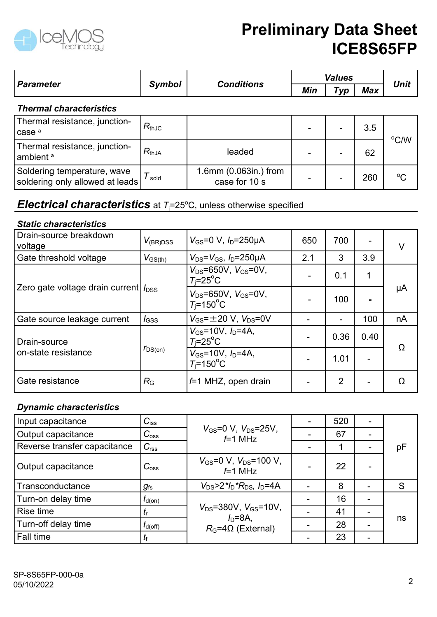

|                                                                                     |                       | <b>Preliminary Data Sheet</b>                                      |     |                       |                | ICE8S65FP   |
|-------------------------------------------------------------------------------------|-----------------------|--------------------------------------------------------------------|-----|-----------------------|----------------|-------------|
| <b>Parameter</b>                                                                    | <b>Symbol</b>         | <b>Conditions</b>                                                  | Min | <b>Values</b><br>Type | <b>Max</b>     | <b>Unit</b> |
| <b>Thermal characteristics</b>                                                      |                       |                                                                    |     |                       |                |             |
| Thermal resistance, junction-<br>lcase ª                                            | $R_{thJC}$            |                                                                    |     |                       | 3.5            |             |
| Thermal resistance, junction-<br>∣ambient ª                                         | $R_{thJA}$            | leaded                                                             |     |                       | 62             | °C/W        |
| Soldering temperature, wave<br>soldering only allowed at leads                      | $T_{\,\mathrm{gold}}$ | 1.6mm (0.063in.) from<br>case for 10 s                             |     |                       | 260            | $^{\circ}C$ |
| <b>Electrical characteristics</b> at $T_i=25^{\circ}$ C, unless otherwise specified |                       |                                                                    |     |                       |                |             |
| <b>Static characteristics</b>                                                       |                       |                                                                    |     |                       |                |             |
| Drain-source breakdown<br>voltage                                                   | $V_{\rm (BR)DSS}$     | $V_{GS} = 0 \text{ V}, I_D = 250 \mu\text{A}$                      | 650 | 700                   |                | $\vee$      |
| Gate threshold voltage                                                              | $V_{GS(th)}$          | $V_{DS} = V_{GS}$ , $I_D = 250 \mu A$                              | 2.1 | $\mathbf{3}$          | 3.9            |             |
|                                                                                     |                       | $V_{DS} = 650V, V_{GS} = 0V,$<br>$T_i = 25$ °C                     | -   | 0.1                   | 1              |             |
| Zero gate voltage drain current $ I_{\rm DSS} $                                     |                       | $V_{DS} = 650V, V_{GS} = 0V,$<br>$T_{\rm i}$ =150 $\rm{^{\circ}C}$ | -   | 100                   | $\blacksquare$ | μA          |
| Gate source leakage current                                                         | $I_{\text{GSS}}$      | $V_{GS} = \pm 20$ V, $V_{DS} = 0V$                                 |     |                       | 100            | nA          |

#### **Electrical characteristics** at  $T_i = 25^{\circ}$ C, unless otherwise specified

#### Static characteristics

| i nermai characteristics                                                            |                       |                                                                            |     |                |      |             |
|-------------------------------------------------------------------------------------|-----------------------|----------------------------------------------------------------------------|-----|----------------|------|-------------|
| Thermal resistance, junction-<br>case <sup>a</sup>                                  | $R_{thJC}$            |                                                                            |     |                | 3.5  | °C/W        |
| Thermal resistance, junction-<br>ambient a                                          | $R_{thJA}$            | leaded                                                                     |     |                | 62   |             |
| Soldering temperature, wave<br>soldering only allowed at leads                      | $T_{\,\mathrm{gold}}$ | 1.6mm (0.063in.) from<br>case for 10 s                                     |     |                | 260  | $^{\circ}C$ |
| <b>Electrical characteristics</b> at $T_i=25^{\circ}$ C, unless otherwise specified |                       |                                                                            |     |                |      |             |
| <b>Static characteristics</b>                                                       |                       |                                                                            |     |                |      |             |
| Drain-source breakdown<br>voltage                                                   | $V_{\rm (BR)DSS}$     | $V_{\text{GS}} = 0 \text{ V}$ , $I_{\text{D}} = 250 \mu \text{A}$          | 650 | 700            |      | $\vee$      |
| Gate threshold voltage                                                              | $V_{\text{GS(th)}}$   | $V_{DS} = V_{GS}$ , $I_D = 250 \mu A$                                      | 2.1 | 3              | 3.9  |             |
|                                                                                     |                       | $V_{DS} = 650V, V_{GS} = 0V,$<br>$T_i = 25$ °C                             |     | 0.1            | 1    |             |
| Zero gate voltage drain current  $\mathit{I}_{\text{DSS}}$                          |                       | $V_{DS}$ =650V, $V_{GS}$ =0V,<br>$T_i = 150^{\circ}$ C                     |     | 100            |      | $\mu A$     |
| Gate source leakage current                                                         | $I_{\text{GSS}}$      | $V_{GS} = \pm 20 \text{ V}$ , $V_{DS} = 0 \text{ V}$                       |     |                | 100  | nA          |
| l Drain-source                                                                      |                       | $V_{GS}$ =10V, $I_D$ =4A,<br>$T_i = 25^\circ \text{C}$                     |     | 0.36           | 0.40 |             |
| on-state resistance                                                                 | $r_{DS(on)}$          | $V_{GS}$ =10V, $I_D$ =4A,<br>$T_i = 150^{\circ}$ C                         |     | 1.01           |      | Ω           |
| Gate resistance                                                                     | $R_{\rm G}$           | $f=1$ MHZ, open drain                                                      |     | $\overline{2}$ |      | Ω           |
| <b>Dynamic characteristics</b>                                                      |                       |                                                                            |     |                |      |             |
| Input capacitance                                                                   | $C_{\text{iss}}$      |                                                                            |     | 520            |      |             |
| Output capacitance                                                                  | $C_{\rm oss}$         | $V_{GS} = 0 \text{ V}$ , $V_{DS} = 25 \text{ V}$ ,                         |     | 67             |      |             |
| Reverse transfer capacitance                                                        | $C_{\text{rss}}$      | $f=1$ MHz                                                                  |     | 1              |      | pF          |
| Output capacitance                                                                  | $C_{\rm oss}$         | $V_{\text{GS}} = 0 \text{ V}, V_{\text{DS}} = 100 \text{ V},$<br>$f=1$ MHz |     | 22             |      |             |
| Transconductance                                                                    | $g_{\rm fs}$          | $V_{DS}$ >2* $I_D$ * $R_{DS}$ , $I_D$ =4A                                  |     | 8              |      | S           |
| Turn-on delay time                                                                  | $t_{\sf d(on)}$       |                                                                            |     | 16             |      |             |
| Rise time                                                                           | $t_{\rm r}$           | $V_{DS} = 380V$ , $V_{GS} = 10V$ ,                                         |     | 41             |      |             |

#### Dynamic characteristics

|                                |                  | VDSTUJUV, VGSTUV,<br>$T_i = 150^{\circ}$ C                                     | -                        | 100            |                          |    |
|--------------------------------|------------------|--------------------------------------------------------------------------------|--------------------------|----------------|--------------------------|----|
| Gate source leakage current    | $I_{\text{GSS}}$ | $V_{GS} = \pm 20$ V, $V_{DS} = 0V$                                             | $\overline{\phantom{0}}$ | $\sim$         | 100                      | nA |
| Drain-source                   |                  | $V_{GS}$ =10V, $I_D$ =4A,<br>$T_i = 25$ °C                                     | $\overline{\phantom{a}}$ | 0.36           | 0.40                     | Ω  |
| on-state resistance            | $r_{DS(on)}$     | $V_{GS}$ =10V, $I_D$ =4A,<br>$T_i = 150^{\circ}$ C                             |                          | 1.01           | $\overline{\phantom{0}}$ |    |
| Gate resistance                | $R_{\rm G}$      | $f=1$ MHZ, open drain                                                          |                          | $\overline{2}$ |                          | Ω  |
| <b>Dynamic characteristics</b> |                  |                                                                                |                          |                |                          |    |
| Input capacitance              | $C_{\text{iss}}$ |                                                                                |                          | 520            |                          |    |
| Output capacitance             | $C_{\rm oss}$    | $V_{GS} = 0 \text{ V}, V_{DS} = 25 \text{ V},$<br>$f=1$ MHz                    |                          | 67             |                          | pF |
| Reverse transfer capacitance   | $C_{\text{rss}}$ |                                                                                | $\overline{\phantom{a}}$ |                | $\overline{\phantom{a}}$ |    |
| Output capacitance             | $C_{\rm oss}$    | $V_{\text{GS}} = 0 \text{ V}$ , $V_{\text{DS}} = 100 \text{ V}$ ,<br>$f=1$ MHz | $\blacksquare$           | 22             |                          |    |
| Transconductance               | $g_{\rm fs}$     | $V_{DS}$ >2* $I_D$ * $R_{DS}$ , $I_D$ =4A                                      | $\blacksquare$           | 8              | $\blacksquare$           | S  |
| Turn-on delay time             | $t_{\sf d(on)}$  |                                                                                | $\overline{\phantom{0}}$ | 16             | $\blacksquare$           |    |
| Rise time                      | $t_{\mathsf{r}}$ | $V_{DS} = 380V$ , $V_{GS} = 10V$ ,                                             |                          | 41             | $\blacksquare$           |    |
| Turn-off delay time            | $t_{\sf d(off)}$ | $I_D = 8A$ ,<br>$R_G = 4\Omega$ (External)                                     |                          | 28             | $\blacksquare$           | ns |
| Fall time                      | $t_{\rm f}$      |                                                                                | $\overline{\phantom{0}}$ | 23             | $\overline{\phantom{0}}$ |    |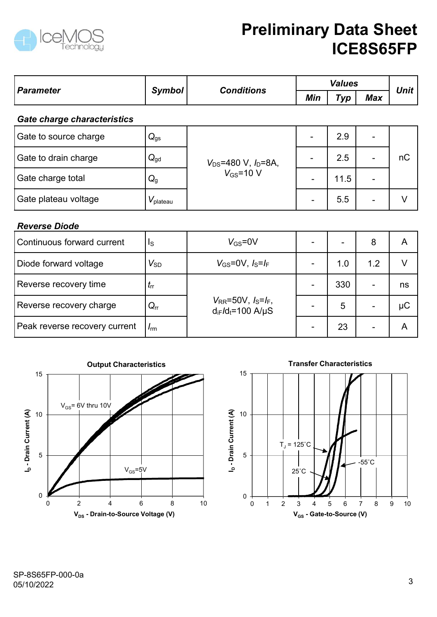

|                               |                         |                                                         |                          | <b>Values</b> |                          | ICE8S65FP    |  |
|-------------------------------|-------------------------|---------------------------------------------------------|--------------------------|---------------|--------------------------|--------------|--|
| <b>Parameter</b>              | <b>Symbol</b>           | <b>Conditions</b>                                       | Min<br>Typ               |               | <b>Max</b>               | <b>Unit</b>  |  |
| Gate charge characteristics   |                         |                                                         |                          |               |                          |              |  |
| Gate to source charge         | $Q_{gs}$                |                                                         |                          | 2.9           |                          |              |  |
| Gate to drain charge          | $Q_{gd}$                | $V_{DS} = 480 V, I_D = 8A,$<br>$V_{GS}$ =10 V           | $\overline{\phantom{a}}$ | 2.5           | $\blacksquare$           | nC           |  |
| Gate charge total             | $Q_{g}$                 |                                                         | $\sim$                   | 11.5          | $\overline{\phantom{a}}$ |              |  |
| Gate plateau voltage          | $V_{\text{plateau}}$    |                                                         | $\overline{\phantom{a}}$ | 5.5           | ۰                        | V            |  |
| <b>Reverse Diode</b>          |                         |                                                         |                          |               |                          |              |  |
| Continuous forward current    | $\mathsf{I}_\mathsf{S}$ | $V_{GS} = 0V$                                           | $\blacksquare$           |               | 8                        | $\mathsf{A}$ |  |
| Diode forward voltage         | $V_{\textrm{SD}}$       | $V_{GS}$ =0V, $I_S = I_F$                               | $\blacksquare$           | 1.0           | 1.2                      | $\vee$       |  |
| Reverse recovery time         | $t_{\rm rr}$            |                                                         | $\blacksquare$           | 330           | $\blacksquare$           | ns           |  |
| Reverse recovery charge       | $Q_{rr}$                | $V_{RR} = 50V, I_S = I_F,$<br>$d_{iF}/d_{t} = 100$ A/µS |                          | 5             | $\overline{\phantom{0}}$ | $\mu$ C      |  |
| Peak reverse recovery current | $I_{\rm rm}$            |                                                         | $\overline{\phantom{a}}$ | 23            | $\overline{\phantom{a}}$ | $\mathsf{A}$ |  |



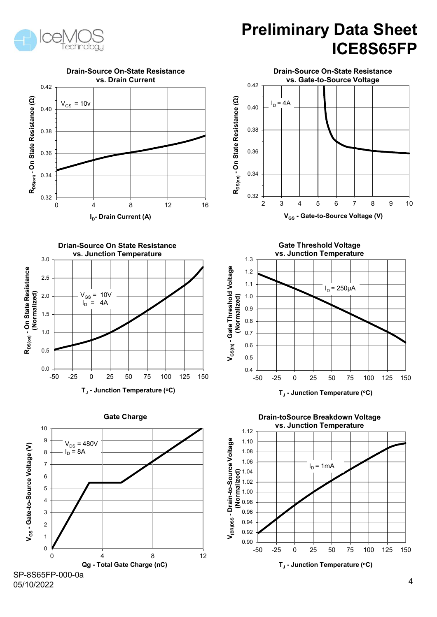



SP-8S65FP-000-0a 05/10/2022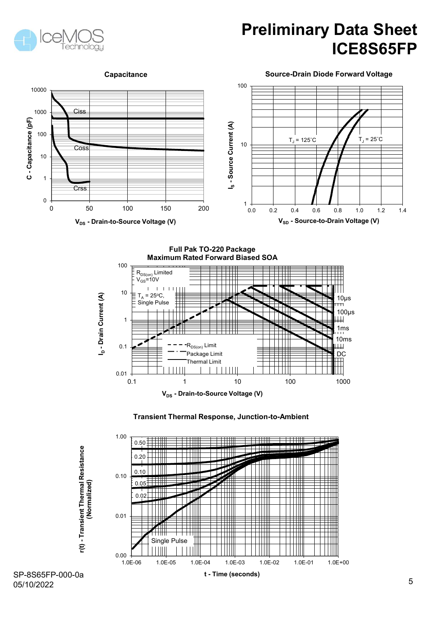



Source-Drain Diode Forward Voltage



Full Pak TO-220 Package Maximum Rated Forward Biased SOA



Transient Thermal Response, Junction-to-Ambient



05/10/2022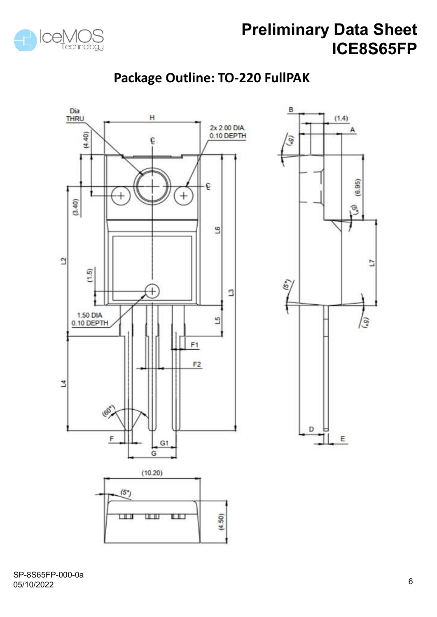

#### Package Outline: TO-220 FullPAK

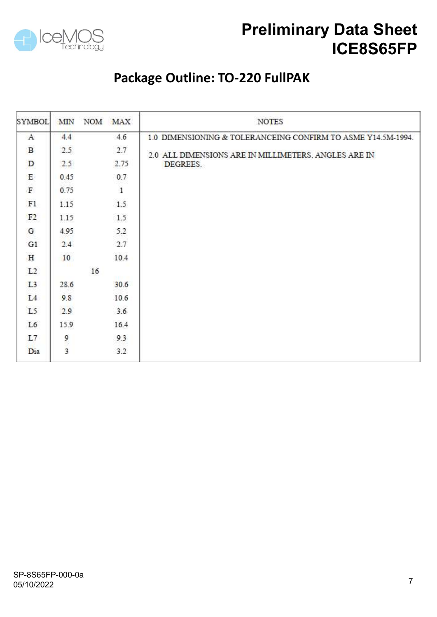

#### Package Outline: TO-220 FullPAK

| <b>SYMBOL</b>  | <b>MIN</b> |    | NOM MAX | <b>NOTES</b>                                                 |
|----------------|------------|----|---------|--------------------------------------------------------------|
| $\mathbf{A}$   | 4.4        |    | 4.6     | 1.0 DIMENSIONING & TOLERANCEING CONFIRM TO ASME Y14.5M-1994. |
| $\, {\bf B}$   | 2.5        |    | 2.7     | 2.0 ALL DIMENSIONS ARE IN MILLIMETERS. ANGLES ARE IN         |
| D              | 2.5        |    | 2.75    | DEGREES.                                                     |
| E              | 0.45       |    | 0.7     |                                                              |
| $\mathbf F$    | 0.75       |    | $\,1$   |                                                              |
| F1             | 1.15       |    | 1.5     |                                                              |
| F <sub>2</sub> | 1.15       |    | 1.5     |                                                              |
| G              | 4.95       |    | 5.2     |                                                              |
| G1             | 2.4        |    | 2.7     |                                                              |
| $\rm H$        | 10         |    | 10.4    |                                                              |
| L2             |            | 16 |         |                                                              |
| L <sub>3</sub> | 28.6       |    | 30.6    |                                                              |
| L4             | 9.8        |    | 10.6    |                                                              |
| L5             | 2.9        |    | 3.6     |                                                              |
| L6             | 15.9       |    | 16.4    |                                                              |
| L7             |            |    | 9.3     |                                                              |
| Dia            | و<br>3     |    | 3.2     |                                                              |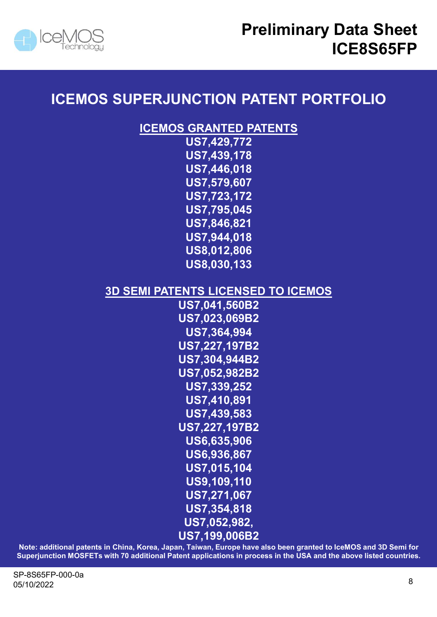



#### ICEMOS SUPERJUNCTION PATENT PORTFOLIO

ICEMOS GRANTED PATENTS

US7,429,772 US7,439,178 US7,446,018 US7,579,607 US7,723,172 US7,795,045 US7,846,821 US7,944,018 US8,012,806 US8,030,133

#### 3D SEMI PATENTS LICENSED TO ICEMOS

US7,041,560B2 US7,023,069B2 US7,364,994 US7,227,197B2 US7,304,944B2 US7,052,982B2 US7,339,252 US7,410,891 US7,439,583 US7,227,197B2 US6,635,906 US6,936,867 US7,015,104 US9,109,110 US7,271,067 US7,354,818 US7,052,982,  $(0.87, 304, 944B2$ <br>  $(0.87, 339, 252$ <br>  $(0.87, 439, 582$ <br>  $(0.87, 439, 583)$ <br>  $(0.86, 936, 865, 906)$ <br>  $(0.86, 936, 867)$ <br>  $(0.86, 936, 867)$ <br>  $(0.87, 949, 110)$ <br>  $(0.87, 271, 067)$ <br>  $(0.87, 199, 006B2)$ <br>
Note: additiona  $\begin{array}{lllllllllll} & & & & & & \text{US}7,052,982\text{B}2\\ & & & & \text{US}7,339,252\\ & & & \text{US}7,430,583\\ & & & \text{US}7,227,197\text{B}2\\ & & & \text{US}6,635,906\\ & & & \text{US}6,635,906\\ & & & \text{US}6,936,867\\ & & & \text{US}7,271,067\\ & & & \text{US}7,109,110\\ & & & \text{US}7,354,818\\ & & & \text{US}7,05$ 

US7,199,006B2<br>Note: additional patents in China, Korea, Japan, Taiwan, Europe have also been granted to IceMOS and 3D Semi for